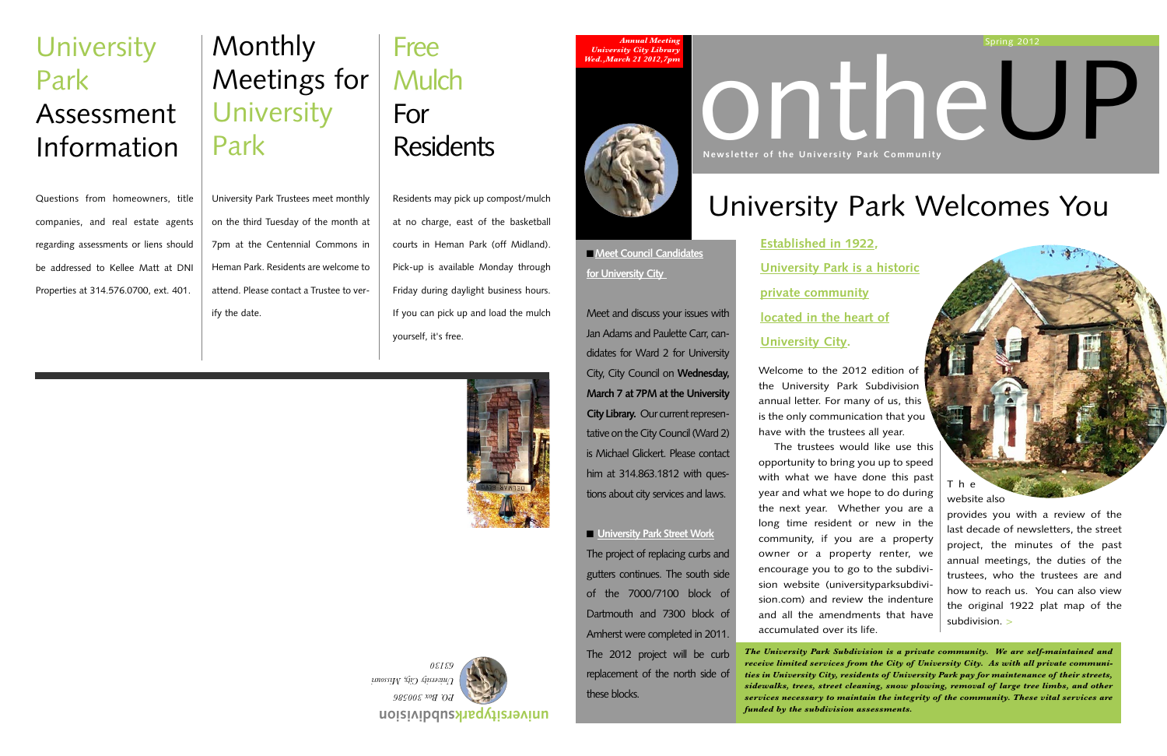

## **Monthly** Meetings for University Park

## Free **Mulch** For **Residents**

University Park Trustees meet monthly on the third Tuesday of the month at 7pm at the Centennial Commons in Heman Park. Residents are welcome to attend. Please contact a Trustee to verify the date.

## **University** Park Assessment Information

Residents may pick up compost/mulch at no charge, east of the basketball courts in Heman Park (off Midland). Pick-up is available Monday through Friday during daylight business hours. If you can pick up and load the mulch yourself, it's free.



Questions from homeowners, title companies, and real estate agents regarding assessments or liens should be addressed to Kellee Matt at DNI Properties at 314.576.0700, ext. 401.



## University Park Welcomes You

Welcome to the 2012 edition of the University Park Subdivision annual letter. For many of us, this is the only communication that you have with the trustees all year.

The trustees would like use this opportunity to bring you up to speed with what we have done this past year and what we hope to do during the next year. Whether you are a long time resident or new in the community, if you are a property owner or a property renter, we encourage you to go to the subdivision website (universityparksubdivision.com) and review the indenture and all the amendments that have accumulated over its life.

The

website also

provides you with a review of the last decade of newsletters, the street project, the minutes of the past annual meetings, the duties of the trustees, who the trustees are and how to reach us. You can also view the original 1922 plat map of the subdivision. >

# **Newsletter of the University Park Community**

**Established in 1922, University Park is a historic private community located in the heart of University City.**

*Annual Meeting University City Librar Wed.,March 21 2012,7pm*



■ **Meet Council Candidates for University City** 

Meet and discuss your issues with Jan Adams and Paulette Carr, candidates for Ward 2 for University City, City Council on **Wednesday, March 7 at 7PM at the University City Library.** Our current representative on the City Council (Ward 2) is Michael Glickert. Please contact him at 314.863.1812 with questions about city services and laws.

■ **University Park Street Work** The project of replacing curbs and gutters continues. The south side of the 7000/7100 block of Dartmouth and 7300 block of Amherst were completed in 2011. The 2012 project will be curb replacement of the north side of these blocks.

*The University Park Subdivision is a private community. We are self-maintained and receive limited services from the City of University City. As with all private communities in University City, residents of University Park pay for maintenance of their streets, sidewalks, trees, street cleaning, snow plowing, removal of large tree limbs, and other services necessary to maintain the integrity of the community. These vital services are funded by the subdivision assessments.*